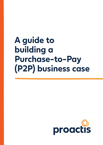

# **A guide to building a Purchase-to-Pay (P2P) business case**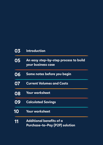| 03 | <b>Introduction</b>                                               |
|----|-------------------------------------------------------------------|
| 05 | An easy step-by-step process to build<br>your business case       |
| 06 | Some notes before you begin                                       |
| 07 | <b>Current Volumes and Costs</b>                                  |
| 08 | Your worksheet                                                    |
| 09 | <b>Calculated Savings</b>                                         |
| 10 | <b>Your worksheet</b>                                             |
| 11 | <b>Additional benefits of a</b><br>Purchase-to-Pay (P2P) solution |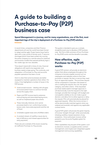## **A guide to building a Purchase-to-Pay (P2P) business case**

**Spend Management is a journey, and for many organisations, one of the first, most important legs of the trip is deployment of a Purchase-to-Pay (P2P) solution.** 

In recent times, companies and their Finance departments all over the world have been forced to adapt and be agile. Project teams have had to deal with a new world of remote work, IT resource shortages (which have been pulled into moving the entire company to a remote setup for instance) and business models that seemed perfectly legit a few weeks ago are now obsolete.

Time doesn't stand still in times of crisis, financial obligations still need to be respected, and business needs to keep going. The continuity, and adaptation, of Purchase-to-Pay and accounts payable operations has been crucial.

And it is clear that some businesses are better equipped to maintain operations than others. For many, it has highlighted a number of issues in the P2P process:

- $\bullet$  Unstructured invoices dealing with all types of invoices (which have no common format) across the supply chain.
- **C** Paper and PDF invoices lead to extensive manual keying and associated keying errors, as well as misplaced paper documents.
- **O** These manually intensive, error-prone processes lead to non-conforming invoices, excess costs, inaccurate payments and the risk of fraud.
- **O** Unreliable supplier base and unfulfilled orders.
- A constant stream of cashflow issues due to lack of efficiency and missed opportunities for early payments.

These are just a sample of the issues caused by an inefficient Purchase-to-Pay process.

This guide is intended to give you a simple, straightforward way to develop a P2P business case. But first a little summary of how Purchaseto-Pay (P2P) works and the benefits it provides…

#### **How effective, agile Purchase-to-Pay (P2P) works**

A good P2P solution will provide an electronic system that allows employees throughout the company to browse supplier sources such as catalogues and websites online to find, then purchase or request, the item or service they need from an approved supplier. The purchase request will be compared to corporate rules based on who is making the request, the cost, the spend category, and other criteria. If the requested purchase needs explicit manager approval, it will electronically route the request to the right manager, provide that manager with budget and cost pipeline visibility so he can make a good decision, and allow him to either approve or deny the request. POs will automatically be placed for approved requests. When the invoice arrives, it will be electronically matched against what was ordered and received, and against any applicable contract terms.

A good P2P system will process the great majority of invoices "straight-through", while automatically initiating workflow-based resolution of any exceptions. Once authorised, invoices will be passed to your Accounts Payable system for payment.

Other capabilities may be part of the system, such as electronic invoices, a supplier portal, contract management, and maybe even integrated supplier management and sourcing capabilities.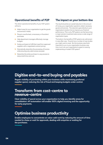#### **Operational benefits of P2P**

The direct operational benefits of your P2P system will be to:

- $\bullet$  Make it easy for your organisation to get the goods and services it needs.
- **C** Prevent unauthorised, unnecessary or fraudulent purchases.
- **<sup>4</sup>** Help department managers effectively manage budgets.
- **Guide purchasers to fulfill their need from approved** suppliers with a negotiated contract pricing.
- **C** Dramatically streamline the processing of invoices while ensuring only valid invoices are paid.
- **O** Streamline the entire purchase-to-pay process to reduce both time and cost.

#### **The impact on your bottom-line**

The result should be an overall reduction in the amount of money your organisation spends to obtain necessary goods and services. This reduction goes directly to your organisation's bottom line to improve your financial performance. This is why P2P systems are fast becoming a major solution investment area across a wide range of organisation types.

The bottom-line benefits of P2P systems are well proven in case after case. Proactis has a number of case studies you might want to read. But the business case that's important to you is your organisation business case. How much can your organisation's expect to save by implementing a modern P2P system?

#### **Digitise end-to-end buying and payables**

Regain visibility of purchasing within your business while maximising preferred supplier spend, reducing the risk of fraud and keeping budgets under control.

#### **Transform from cost-centre to revenue-centre**

Clear visibility of spend across your organisation to help you identify areas for consolidation. AP automation will enable 100% digital invoicing and the opportunity for early payments.

#### **Optimise business productivity**

Enable employees to concentrate on value-add work by reducing the amount of time needed to chase or wait for approvals, dealing with enquiries or waiting for the purchases.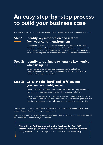### **An easy step-by-step process to build your business case**

The step-by-step process to build your organisation's business case for deployment of P2P is simple:

#### **Step 1: Identify key information and metrics from your current environment**

An example of the information you will want to collect is shown in the Current Volumes and Costs section along with a blank worksheet for your organisation's actual and estimated information. If there is some information you cannot get from your current processes, you can supplement that with industry benchmarks.

#### **Step 2: Identify target improvements to key metrics when using P2P**

An example worksheet with savings areas, current metrics, and estimated improvements using P2P is shown in the Calculated Savings section along with a blank worksheet for your organisation.

#### **Step 3: Calculate the 'hard' and 'soft' savings you can reasonably expect**

Using the worksheet in the Calculated Savings section, you can quickly calculate the results you can reasonably expect to achieve through deployment of P2P.

The worksheet divides savings into two areas: 'hard' savings where costs will actually be reduced, and 'soft' savings where process costs will be reduced, though the resources used in those processes may be re-allocated to other, more value-added, activities.

Using this approach, you can quickly determine the results you can expect from deployment of a P2P solution. As you will see, those savings can be significant.

Once you have your savings target in hand, you can combine that with the cost of technology investments associated with P2P to determine your ROI period.

Also note the **Additional benefits of a Purchase-to-Pay (P2P) system**. Although you may not include these in your formal business case, they can be just as important as the bottom-line savings.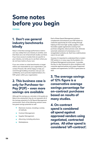## **Some notes before you begin**

#### **1. Don't use general industry benchmarks blindly**

Keep in mind that average performance metrics can vary widely from one industry to another, and that there are a lot of benchmark studies out there. If you have access to studies that are specific to your industry, we invite you to use them where you do not have metrics of your own.

If you are unclear on what benchmarks or target metrics are reasonable for your organisation, just contact Proactis. We will be happy to help you work through building a business case you can confidently use to promote implementation of a P2P system within your organisation.

#### **2. This business case is only for Purchase-to-Pay (P2P) – even more savings are available**

Although the savings you calculate in this guide are likely to be substantial, they do not represent all of the savings potential of a full Spend Management environment. Each of the following solution areas has great savings potential as well:

- Electronic invoices, including a variety of methods.
- **Contract Management.**
- Supplier Management.  $\bullet$
- eSourcing, including eAuctions.  $\mathbf{\hat{a}}$
- $\hat{\mathbb{C}}$ Marketplaces.

Each of these Spend Management solutions complements and enhances your P2P solution to create the opportunity for more savings through helping to find more high-quality suppliers, create favorable supplier agreements covering more purchase categories, reduce process costs, eliminate automatic extensions of unnecessary or nonrenegotiated contracts, etc. Each has a solid business case in its own right.

However, it's important to understand that a modern P2P solution is, in many ways, the foundation of a full Spend Management environment. It provides the day-to-day framework to drive compliance with corporate approval policies and usage of approved suppliers and agreements. So P2P is a great place to start.

**3. The average savings of 12% figure is a conservative average savings percentage for on-contract purchases based on results of many studies.** 

**4. On-contract spend is considered all spend against approved vendors using negotiated, contracted prices. All other spend is considered 'off-contract'.**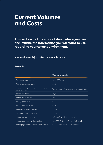### **Current Volumes and Costs**

**This section includes a worksheet where you can accumulate the information you will want to use regarding your current environment.**

**Your worksheet is just after the example below.**

#### **Example**

§

|                                                              | Volume or metric                              |
|--------------------------------------------------------------|-----------------------------------------------|
| Total addressable spend                                      | £250,000,000                                  |
| Current on-contract spend                                    | 40%                                           |
| Targeted savings for on-contract spend vs.<br>maverick spend | 10% (a conservative amount as average is 12%) |
| Annual PO volume                                             | 25,000                                        |
| Annual invoice volume                                        | 30,000                                        |
| Average per PO cost                                          | £27                                           |
| Average per invoice cost                                     | £15.61                                        |
| Request-to-order cycle time                                  | 3 days                                        |
| Invoice processing cycle time                                | 10 days                                       |
| Annual late payment fees                                     | £10,000 (from General Ledger)                 |
| Annual early payment discount lost                           | £50,000 (Estimated 2% on 1% of spend)         |
| Annual payment of duplicate/invalid invoices                 | £25,000 (Estimated 0.01% of spend)            |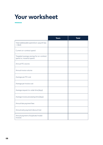## **Your worksheet**

|                                                                      | <b>Yours</b> | <b>Total</b> |
|----------------------------------------------------------------------|--------------|--------------|
| Total addressable spend (non-payroll Ops<br>$+ G&A)$                 |              |              |
| Current on-contract spend                                            |              |              |
| Targeted average savings for on-contract<br>spend vs. maverick spend |              |              |
| Annual PO volume                                                     |              |              |
| Annual invoice volume                                                |              |              |
| Average per PO cost                                                  |              |              |
| Average per invoice cost                                             |              |              |
| Average request-to-order time (days)                                 |              |              |
| Average invoice processing time (days)                               |              |              |
| Annual late payment fees                                             |              |              |
| Annual early payment discount lost                                   |              |              |
| Annual payment of duplicate/invalid<br>invoices                      |              |              |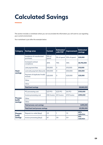## **Calculated Savings**

This section includes a worksheet where you can accumulate the information you will want to use regarding your current environment.

Your worksheet is just after the example below.

| <b>Category</b>                     | <b>Savings area</b>                                 | <b>Current</b>  | <b>Estimated</b><br>with P2P | <b>Improvement</b> | <b>Estimated</b><br>savings |  |  |  |
|-------------------------------------|-----------------------------------------------------|-----------------|------------------------------|--------------------|-----------------------------|--|--|--|
| <b>Hard</b><br>savings              | Avoidance of unauthorised<br>purchases              | 15% of<br>spend | 5% of spend                  | 10% of spend       | £25,000                     |  |  |  |
|                                     | Increased contract<br>compliance                    | 40%             | 75%                          | 35%                | £8,750,000                  |  |  |  |
|                                     | Late payment fees                                   | £10,000         | $\circ$                      | £10,000            | £10,000                     |  |  |  |
|                                     | Lost early payment discounts                        | £50,000         | $\circ$                      | £50,000            | £50,000                     |  |  |  |
|                                     | Payment of duplicate/invalid<br>invoices            | £25,000         | $\circ$                      | £25,000            | £25,000                     |  |  |  |
|                                     | Other                                               |                 |                              |                    |                             |  |  |  |
|                                     | Other                                               |                 |                              |                    |                             |  |  |  |
|                                     | £8,860,000<br><b>Total hard savings</b>             |                 |                              |                    |                             |  |  |  |
| <b>Process</b><br>(soft)<br>savings | PO processing cost                                  | £27/PO          | £23/PO                       | £4/PO              | £100,000                    |  |  |  |
|                                     | Invoice processing cost                             | £16/invoice     | £3/invoice                   | £13/Invoice        | £390,000                    |  |  |  |
|                                     | Other                                               |                 |                              |                    |                             |  |  |  |
|                                     | Other                                               |                 |                              |                    |                             |  |  |  |
|                                     | £490,000<br><b>Total process cost savings</b>       |                 |                              |                    |                             |  |  |  |
|                                     | <b>Total hard and process savings</b><br>£9,350,000 |                 |                              |                    |                             |  |  |  |
| <b>Process</b><br>(soft)<br>savings | Request-to-order (days)                             | 2.5             | 1                            | 1.5                | 60%<br>reduction            |  |  |  |
|                                     | Invoice processing (days)                           | 9.7             | 3.8                          | 5.9                | 61%<br>reduction            |  |  |  |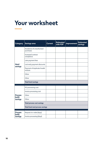## **Your worksheet**

| <b>Category</b>                     | <b>Savings area</b>                      | <b>Current</b> | <b>Estimated</b><br>with P2P | <b>Improvement</b> | <b>Estimated</b><br>savings |  |  |
|-------------------------------------|------------------------------------------|----------------|------------------------------|--------------------|-----------------------------|--|--|
| <b>Hard</b><br>savings              | Avoidance of unauthorised<br>purchases   |                |                              |                    |                             |  |  |
|                                     | Increased contract<br>compliance         |                |                              |                    |                             |  |  |
|                                     | Late payment fees                        |                |                              |                    |                             |  |  |
|                                     | Lost early payment discounts             |                |                              |                    |                             |  |  |
|                                     | Payment of duplicate/invalid<br>invoices |                |                              |                    |                             |  |  |
|                                     | Other                                    |                |                              |                    |                             |  |  |
|                                     | Other                                    |                |                              |                    |                             |  |  |
|                                     | <b>Total hard savings</b>                |                |                              |                    |                             |  |  |
| <b>Process</b><br>(soft)<br>savings | PO processing cost                       |                |                              |                    |                             |  |  |
|                                     | Invoice processing cost                  |                |                              |                    |                             |  |  |
|                                     | Other                                    |                |                              |                    |                             |  |  |
|                                     | Other                                    |                |                              |                    |                             |  |  |
|                                     | <b>Total process cost savings</b>        |                |                              |                    |                             |  |  |
|                                     | <b>Total hard and process savings</b>    |                |                              |                    |                             |  |  |
| <b>Process</b><br>(soft)<br>savings | Request-to-order (days)                  |                |                              |                    |                             |  |  |
|                                     | Invoice processing (days)                |                |                              |                    |                             |  |  |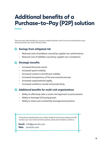## **Additional benefits of a Purchase-to-Pay (P2P) solution**

There are many other benefits you may also consider important, even if you do not include them in your financial business case. Some of those include:

#### **Savings from mitigated risk**

- Reduced costs of problems caused by supplier non-performance.
- Reduced cost of liabilities caused by supplier non-compliance.

#### **Strategic benefits**

- Increased financial control.
- Increased spend visibility.
- Increased contract commitment visibility.
- Increased transparency of the procurement process.
- Increased organisational agility.
- Increased workforce morale and productivity.

#### **Additional benefits for multi-unit organisations**

- Ability to effectively take a centre-led approach to procurement.
- Ability to leverage full buying power.
- Ability to share and consistently leverage best practices.

This guide has hopefully given you a simple, straight forward way to develop your P2P business case. If you have any further questions, please don't hesitate to contact us:

**Email:** [info@proactis.com](mailto:info@proactis.com) **Web:** [proactis.com](http://proactis.com)